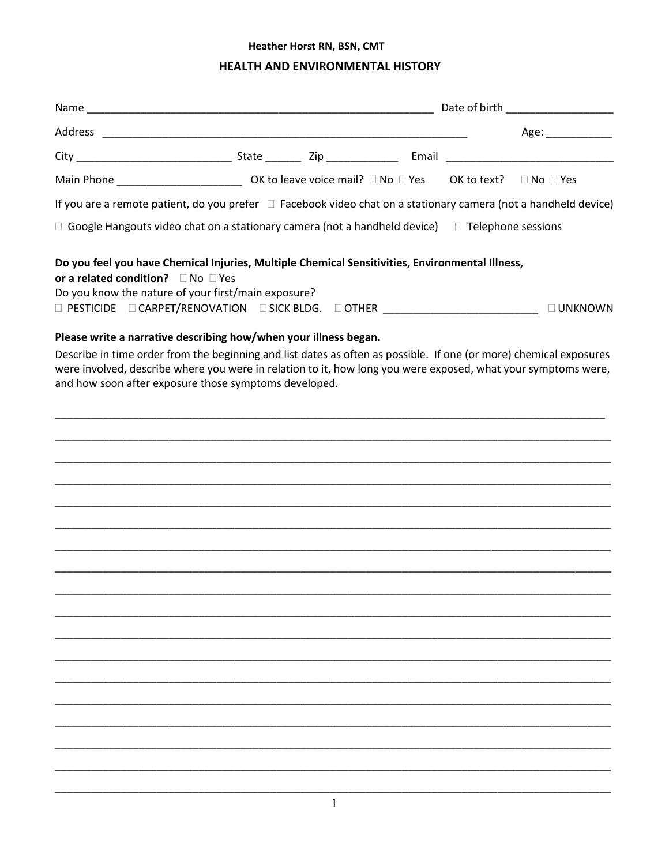# Heather Horst RN, BSN, CMT

# HEALTH AND ENVIRONMENTAL HISTORY

|                                              |                                                                                                                                                                                                                                                                                              |  | Age: ____________ |
|----------------------------------------------|----------------------------------------------------------------------------------------------------------------------------------------------------------------------------------------------------------------------------------------------------------------------------------------------|--|-------------------|
|                                              |                                                                                                                                                                                                                                                                                              |  |                   |
|                                              |                                                                                                                                                                                                                                                                                              |  |                   |
|                                              | If you are a remote patient, do you prefer $\Box$ Facebook video chat on a stationary camera (not a handheld device)                                                                                                                                                                         |  |                   |
|                                              | $\Box$ Google Hangouts video chat on a stationary camera (not a handheld device) $\Box$ Telephone sessions                                                                                                                                                                                   |  |                   |
| or a related condition? $\Box$ No $\Box$ Yes | Do you feel you have Chemical Injuries, Multiple Chemical Sensitivities, Environmental Illness,<br>Do you know the nature of your first/main exposure?<br>□ PESTICIDE □ CARPET/RENOVATION □ SICK BLDG. □ OTHER __________________________                                                    |  | $\square$ UNKNOWN |
|                                              | Please write a narrative describing how/when your illness began.                                                                                                                                                                                                                             |  |                   |
|                                              | Describe in time order from the beginning and list dates as often as possible. If one (or more) chemical exposures<br>were involved, describe where you were in relation to it, how long you were exposed, what your symptoms were,<br>and how soon after exposure those symptoms developed. |  |                   |
|                                              |                                                                                                                                                                                                                                                                                              |  |                   |
|                                              |                                                                                                                                                                                                                                                                                              |  |                   |
|                                              |                                                                                                                                                                                                                                                                                              |  |                   |
|                                              |                                                                                                                                                                                                                                                                                              |  |                   |
|                                              |                                                                                                                                                                                                                                                                                              |  |                   |
|                                              |                                                                                                                                                                                                                                                                                              |  |                   |
|                                              |                                                                                                                                                                                                                                                                                              |  |                   |
|                                              |                                                                                                                                                                                                                                                                                              |  |                   |
|                                              |                                                                                                                                                                                                                                                                                              |  |                   |
|                                              |                                                                                                                                                                                                                                                                                              |  |                   |
|                                              |                                                                                                                                                                                                                                                                                              |  |                   |
|                                              |                                                                                                                                                                                                                                                                                              |  |                   |
|                                              |                                                                                                                                                                                                                                                                                              |  |                   |
|                                              |                                                                                                                                                                                                                                                                                              |  |                   |
|                                              |                                                                                                                                                                                                                                                                                              |  |                   |
|                                              |                                                                                                                                                                                                                                                                                              |  |                   |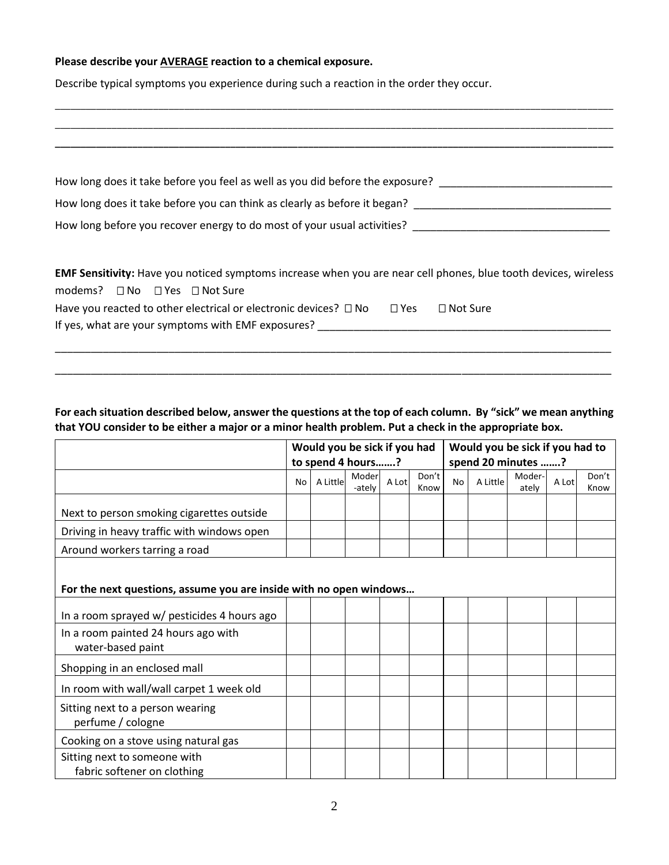#### **Please describe your AVERAGE reaction to a chemical exposure.**

Describe typical symptoms you experience during such a reaction in the order they occur.

| How long does it take before you feel as well as you did before the exposure?                                                                                          |               |                 |
|------------------------------------------------------------------------------------------------------------------------------------------------------------------------|---------------|-----------------|
| How long does it take before you can think as clearly as before it began?                                                                                              |               |                 |
| How long before you recover energy to do most of your usual activities? [100] [10] How long before you recover                                                         |               |                 |
|                                                                                                                                                                        |               |                 |
| <b>EMF Sensitivity:</b> Have you noticed symptoms increase when you are near cell phones, blue tooth devices, wireless<br>modems? $\Box$ No $\Box$ Yes $\Box$ Not Sure |               |                 |
| Have you reacted to other electrical or electronic devices? $\Box$ No                                                                                                  | $\square$ Yes | $\Box$ Not Sure |
| If yes, what are your symptoms with EMF exposures?                                                                                                                     |               |                 |
|                                                                                                                                                                        |               |                 |

\_\_\_\_\_\_\_\_\_\_\_\_\_\_\_\_\_\_\_\_\_\_\_\_\_\_\_\_\_\_\_\_\_\_\_\_\_\_\_\_\_\_\_\_\_\_\_\_\_\_\_\_\_\_\_\_\_\_\_\_\_\_\_\_\_\_\_\_\_\_\_\_\_\_\_\_\_\_\_\_\_\_\_\_\_\_\_\_\_\_\_\_\_\_\_\_\_\_\_\_\_\_\_\_\_\_\_\_

## **For each situation described below, answer the questions at the top of each column. By "sick" we mean anything that YOU consider to be either a major or a minor health problem. Put a check in the appropriate box.**

\_\_\_\_\_\_\_\_\_\_\_\_\_\_\_\_\_\_\_\_\_\_\_\_\_\_\_\_\_\_\_\_\_\_\_\_\_\_\_\_\_\_\_\_\_\_\_\_\_\_\_\_\_\_\_\_\_\_\_\_\_\_\_\_\_\_\_\_\_\_\_\_\_\_\_\_\_\_\_\_\_\_\_\_\_\_\_\_\_\_\_\_\_

|                                                                    | Would you be sick if you had |                   |                 |       | Would you be sick if you had to |                    |          |                 |       |               |
|--------------------------------------------------------------------|------------------------------|-------------------|-----------------|-------|---------------------------------|--------------------|----------|-----------------|-------|---------------|
|                                                                    |                              | to spend 4 hours? |                 |       |                                 | spend 20 minutes ? |          |                 |       |               |
|                                                                    | No                           | A Little          | Moder<br>-ately | A Lot | Don't<br>Know                   | <b>No</b>          | A Little | Moder-<br>ately | A Lot | Don't<br>Know |
| Next to person smoking cigarettes outside                          |                              |                   |                 |       |                                 |                    |          |                 |       |               |
| Driving in heavy traffic with windows open                         |                              |                   |                 |       |                                 |                    |          |                 |       |               |
| Around workers tarring a road                                      |                              |                   |                 |       |                                 |                    |          |                 |       |               |
| For the next questions, assume you are inside with no open windows |                              |                   |                 |       |                                 |                    |          |                 |       |               |
| In a room sprayed w/ pesticides 4 hours ago                        |                              |                   |                 |       |                                 |                    |          |                 |       |               |
| In a room painted 24 hours ago with<br>water-based paint           |                              |                   |                 |       |                                 |                    |          |                 |       |               |
| Shopping in an enclosed mall                                       |                              |                   |                 |       |                                 |                    |          |                 |       |               |
| In room with wall/wall carpet 1 week old                           |                              |                   |                 |       |                                 |                    |          |                 |       |               |
| Sitting next to a person wearing<br>perfume / cologne              |                              |                   |                 |       |                                 |                    |          |                 |       |               |
| Cooking on a stove using natural gas                               |                              |                   |                 |       |                                 |                    |          |                 |       |               |
| Sitting next to someone with<br>fabric softener on clothing        |                              |                   |                 |       |                                 |                    |          |                 |       |               |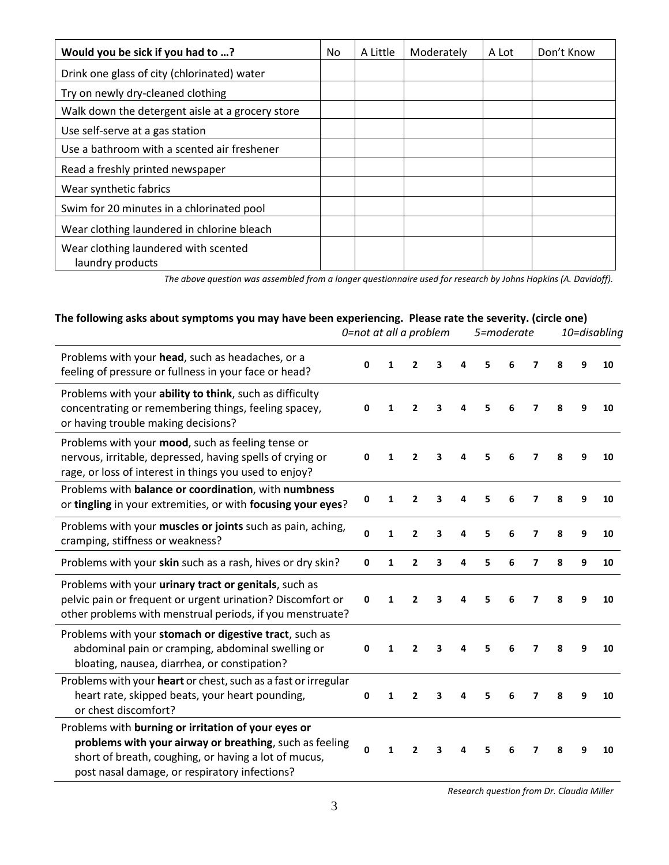| Would you be sick if you had to ?                        | No. | A Little | Moderately | A Lot | Don't Know |
|----------------------------------------------------------|-----|----------|------------|-------|------------|
| Drink one glass of city (chlorinated) water              |     |          |            |       |            |
| Try on newly dry-cleaned clothing                        |     |          |            |       |            |
| Walk down the detergent aisle at a grocery store         |     |          |            |       |            |
| Use self-serve at a gas station                          |     |          |            |       |            |
| Use a bathroom with a scented air freshener              |     |          |            |       |            |
| Read a freshly printed newspaper                         |     |          |            |       |            |
| Wear synthetic fabrics                                   |     |          |            |       |            |
| Swim for 20 minutes in a chlorinated pool                |     |          |            |       |            |
| Wear clothing laundered in chlorine bleach               |     |          |            |       |            |
| Wear clothing laundered with scented<br>laundry products |     |          |            |       |            |

*The above question was assembled from a longer questionnaire used for research by Johns Hopkins (A. Davidoff).*

# **The following asks about symptoms you may have been experiencing. Please rate the severity. (circle one)**

|                                                                                                                                                                                                                         |              | 0=not at all a problem |                          |   | 5=moderate |   |   | 10=disabling            |   |   |    |
|-------------------------------------------------------------------------------------------------------------------------------------------------------------------------------------------------------------------------|--------------|------------------------|--------------------------|---|------------|---|---|-------------------------|---|---|----|
| Problems with your head, such as headaches, or a<br>feeling of pressure or fullness in your face or head?                                                                                                               | $\mathbf{0}$ | 1                      | $\overline{2}$           | 3 |            | 5 | 6 | 7                       | 8 | q | 10 |
| Problems with your ability to think, such as difficulty<br>concentrating or remembering things, feeling spacey,<br>or having trouble making decisions?                                                                  | 0            | 1                      | 2                        | 3 | 4          | 5 | 6 | 7                       | 8 | 9 | 10 |
| Problems with your mood, such as feeling tense or<br>nervous, irritable, depressed, having spells of crying or<br>rage, or loss of interest in things you used to enjoy?                                                | $\Omega$     | 1                      | 2                        | 3 |            | 5 | 6 | 7                       | 8 | q | 10 |
| Problems with balance or coordination, with numbness<br>or tingling in your extremities, or with focusing your eyes?                                                                                                    | 0            | 1                      | $\overline{2}$           | 3 |            | 5 | 6 | 7                       | 8 | 9 | 10 |
| Problems with your muscles or joints such as pain, aching,<br>cramping, stiffness or weakness?                                                                                                                          | $\mathbf 0$  | $\mathbf{1}$           | 2                        | 3 | 4          | 5 | 6 | 7                       | 8 | 9 | 10 |
| Problems with your skin such as a rash, hives or dry skin?                                                                                                                                                              | $\mathbf 0$  | 1                      | $\overline{2}$           | 3 | 4          | 5 | 6 | $\overline{\mathbf{z}}$ | 8 | 9 | 10 |
| Problems with your urinary tract or genitals, such as<br>pelvic pain or frequent or urgent urination? Discomfort or<br>other problems with menstrual periods, if you menstruate?                                        | 0            | 1                      | 2                        | 3 |            |   | 6 | 7                       | 8 | q | 10 |
| Problems with your stomach or digestive tract, such as<br>abdominal pain or cramping, abdominal swelling or<br>bloating, nausea, diarrhea, or constipation?                                                             | 0            | 1                      | $\mathbf{2}$             | 3 |            | 5 |   | 7                       | 8 | q | 10 |
| Problems with your heart or chest, such as a fast or irregular<br>heart rate, skipped beats, your heart pounding,<br>or chest discomfort?                                                                               | $\mathbf 0$  | 1                      | 2                        | 3 |            | 5 | 6 | 7                       | 8 | 9 | 10 |
| Problems with burning or irritation of your eyes or<br>problems with your airway or breathing, such as feeling<br>short of breath, coughing, or having a lot of mucus,<br>post nasal damage, or respiratory infections? | $\mathbf 0$  | 1                      | $\overline{\phantom{a}}$ | 3 |            | 5 | 6 | 7                       | 8 | q | 10 |

*Research question from Dr. Claudia Miller*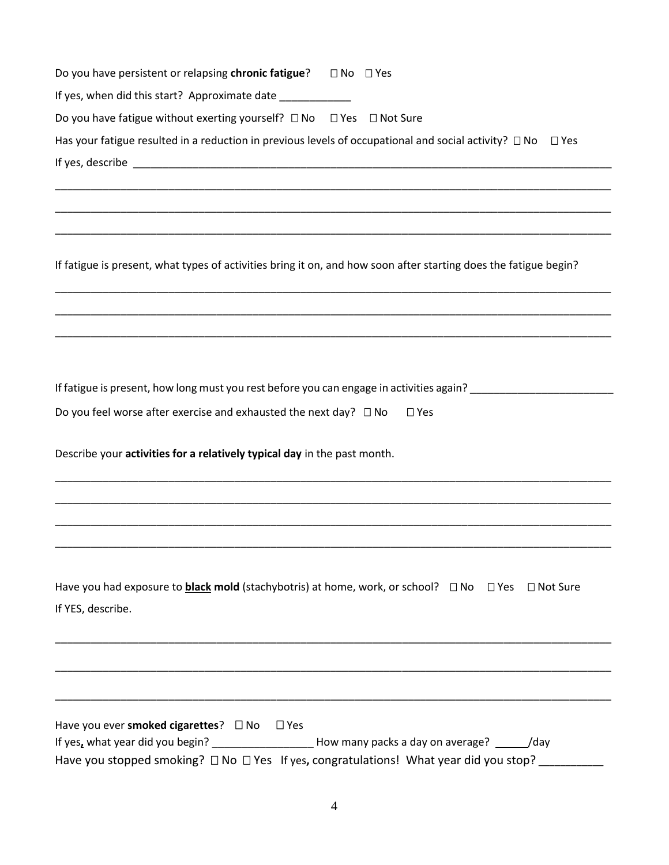| Do you have persistent or relapsing chronic fatigue?<br>$\Box$ No $\Box$ Yes                                             |  |  |  |  |  |  |  |  |
|--------------------------------------------------------------------------------------------------------------------------|--|--|--|--|--|--|--|--|
| If yes, when did this start? Approximate date ___________________________________                                        |  |  |  |  |  |  |  |  |
| Do you have fatigue without exerting yourself? □ No □ Yes □ Not Sure                                                     |  |  |  |  |  |  |  |  |
| Has your fatigue resulted in a reduction in previous levels of occupational and social activity? $\Box$ No<br>$\Box$ Yes |  |  |  |  |  |  |  |  |
|                                                                                                                          |  |  |  |  |  |  |  |  |
|                                                                                                                          |  |  |  |  |  |  |  |  |
|                                                                                                                          |  |  |  |  |  |  |  |  |
|                                                                                                                          |  |  |  |  |  |  |  |  |
| If fatigue is present, what types of activities bring it on, and how soon after starting does the fatigue begin?         |  |  |  |  |  |  |  |  |
|                                                                                                                          |  |  |  |  |  |  |  |  |
|                                                                                                                          |  |  |  |  |  |  |  |  |
|                                                                                                                          |  |  |  |  |  |  |  |  |
|                                                                                                                          |  |  |  |  |  |  |  |  |
| If fatigue is present, how long must you rest before you can engage in activities again?                                 |  |  |  |  |  |  |  |  |
| Do you feel worse after exercise and exhausted the next day? $\Box$ No<br>$\square$ Yes                                  |  |  |  |  |  |  |  |  |
| Describe your activities for a relatively typical day in the past month.                                                 |  |  |  |  |  |  |  |  |
|                                                                                                                          |  |  |  |  |  |  |  |  |
|                                                                                                                          |  |  |  |  |  |  |  |  |
|                                                                                                                          |  |  |  |  |  |  |  |  |
|                                                                                                                          |  |  |  |  |  |  |  |  |
|                                                                                                                          |  |  |  |  |  |  |  |  |
| Have you had exposure to <b>black mold</b> (stachybotris) at home, work, or school? □ No □ Yes □ Not Sure                |  |  |  |  |  |  |  |  |
| If YES, describe.                                                                                                        |  |  |  |  |  |  |  |  |
|                                                                                                                          |  |  |  |  |  |  |  |  |
|                                                                                                                          |  |  |  |  |  |  |  |  |
|                                                                                                                          |  |  |  |  |  |  |  |  |
|                                                                                                                          |  |  |  |  |  |  |  |  |
| Have you ever smoked cigarettes? $\Box$ No<br>$\Box$ Yes                                                                 |  |  |  |  |  |  |  |  |
| If yes, what year did you begin? ______________________How many packs a day on average? _______/day                      |  |  |  |  |  |  |  |  |
| Have you stopped smoking? □ No □ Yes If yes, congratulations! What year did you stop? __________                         |  |  |  |  |  |  |  |  |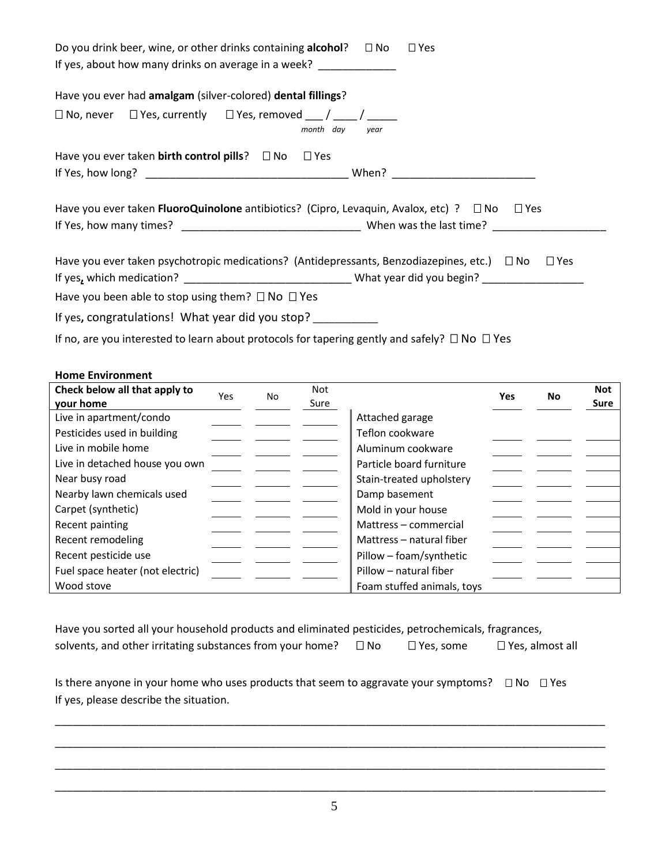| Do you drink beer, wine, or other drinks containing alcohol?                                            | $\Box$ No<br>$\square$ Yes |
|---------------------------------------------------------------------------------------------------------|----------------------------|
| If yes, about how many drinks on average in a week?                                                     |                            |
| Have you ever had amalgam (silver-colored) dental fillings?                                             |                            |
| $\Box$ No, never $\Box$ Yes, currently $\Box$ Yes, removed $\Box$ / $\Box$<br>month day                 | year                       |
| Have you ever taken birth control pills? $\Box$ No $\Box$ Yes                                           |                            |
|                                                                                                         |                            |
| Have you ever taken <b>FluoroQuinolone</b> antibiotics? (Cipro, Levaquin, Avalox, etc) ? $\Box$ No      | $\square$ Yes              |
|                                                                                                         |                            |
| Have you ever taken psychotropic medications? (Antidepressants, Benzodiazepines, etc.) $\Box$ No        | $\square$ Yes              |
|                                                                                                         |                            |
| Have you been able to stop using them? $\Box$ No $\Box$ Yes                                             |                            |
| If yes, congratulations! What year did you stop?                                                        |                            |
| If no, are you interested to learn about protocols for tapering gently and safely? $\Box$ No $\Box$ Yes |                            |

### **Home Environment**

| Check below all that apply to    | Yes | No | Not  |                            | <b>Yes</b> | No | <b>Not</b> |
|----------------------------------|-----|----|------|----------------------------|------------|----|------------|
| your home                        |     |    | Sure |                            |            |    | Sure       |
| Live in apartment/condo          |     |    |      | Attached garage            |            |    |            |
| Pesticides used in building      |     |    |      | Teflon cookware            |            |    |            |
| Live in mobile home              |     |    |      | Aluminum cookware          |            |    |            |
| Live in detached house you own   |     |    |      | Particle board furniture   |            |    |            |
| Near busy road                   |     |    |      | Stain-treated upholstery   |            |    |            |
| Nearby lawn chemicals used       |     |    |      | Damp basement              |            |    |            |
| Carpet (synthetic)               |     |    |      | Mold in your house         |            |    |            |
| Recent painting                  |     |    |      | Mattress - commercial      |            |    |            |
| Recent remodeling                |     |    |      | Mattress - natural fiber   |            |    |            |
| Recent pesticide use             |     |    |      | Pillow - foam/synthetic    |            |    |            |
| Fuel space heater (not electric) |     |    |      | Pillow - natural fiber     |            |    |            |
| Wood stove                       |     |    |      | Foam stuffed animals, toys |            |    |            |

Have you sorted all your household products and eliminated pesticides, petrochemicals, fragrances, solvents, and other irritating substances from your home?  $\Box$  No  $\Box$  Yes, some  $\Box$  Yes, almost all

Is there anyone in your home who uses products that seem to aggravate your symptoms? □ No □ Yes If yes, please describe the situation.

5 \_\_\_\_\_\_\_\_\_\_\_\_\_\_\_\_\_\_\_\_\_\_\_\_\_\_\_\_\_\_\_\_\_\_\_\_\_\_\_\_\_\_\_\_\_\_\_\_\_\_\_\_\_\_\_\_\_\_\_\_\_\_\_\_\_\_\_\_\_\_\_\_\_\_\_\_\_\_\_\_\_\_\_\_\_\_\_\_\_\_\_\_

\_\_\_\_\_\_\_\_\_\_\_\_\_\_\_\_\_\_\_\_\_\_\_\_\_\_\_\_\_\_\_\_\_\_\_\_\_\_\_\_\_\_\_\_\_\_\_\_\_\_\_\_\_\_\_\_\_\_\_\_\_\_\_\_\_\_\_\_\_\_\_\_\_\_\_\_\_\_\_\_\_\_\_\_\_\_\_\_\_\_\_\_

\_\_\_\_\_\_\_\_\_\_\_\_\_\_\_\_\_\_\_\_\_\_\_\_\_\_\_\_\_\_\_\_\_\_\_\_\_\_\_\_\_\_\_\_\_\_\_\_\_\_\_\_\_\_\_\_\_\_\_\_\_\_\_\_\_\_\_\_\_\_\_\_\_\_\_\_\_\_\_\_\_\_\_\_\_\_\_\_\_\_\_\_

\_\_\_\_\_\_\_\_\_\_\_\_\_\_\_\_\_\_\_\_\_\_\_\_\_\_\_\_\_\_\_\_\_\_\_\_\_\_\_\_\_\_\_\_\_\_\_\_\_\_\_\_\_\_\_\_\_\_\_\_\_\_\_\_\_\_\_\_\_\_\_\_\_\_\_\_\_\_\_\_\_\_\_\_\_\_\_\_\_\_\_\_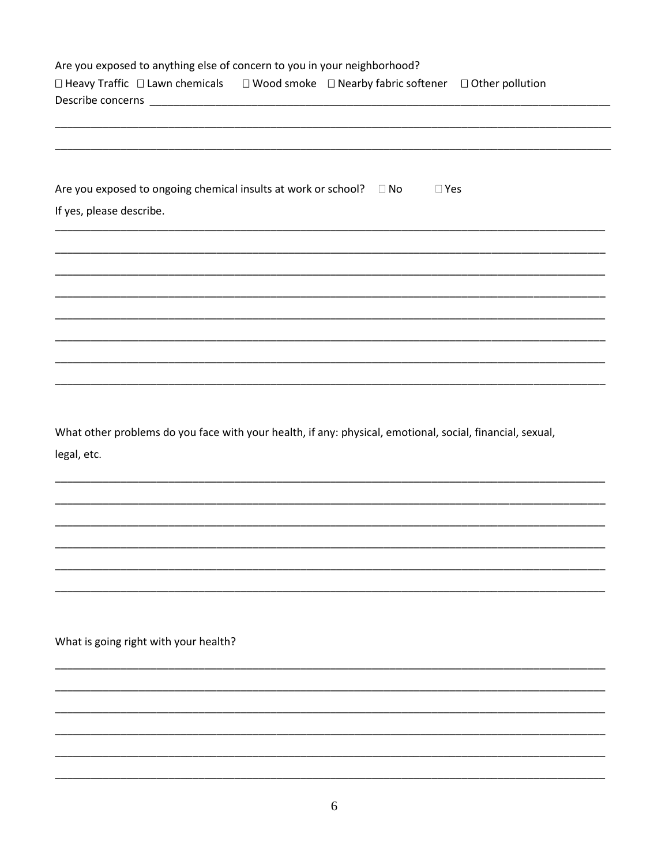| Are you exposed to anything else of concern to you in your neighborhood?<br>□ Heavy Traffic □ Lawn chemicals □ Wood smoke □ Nearby fabric softener □ Other pollution |
|----------------------------------------------------------------------------------------------------------------------------------------------------------------------|
|                                                                                                                                                                      |
|                                                                                                                                                                      |
| Are you exposed to ongoing chemical insults at work or school? $\square$ No<br>$\Box$ Yes<br>If yes, please describe.                                                |
|                                                                                                                                                                      |
|                                                                                                                                                                      |
|                                                                                                                                                                      |
|                                                                                                                                                                      |
|                                                                                                                                                                      |
| What other problems do you face with your health, if any: physical, emotional, social, financial, sexual,<br>legal, etc.                                             |
|                                                                                                                                                                      |
|                                                                                                                                                                      |
|                                                                                                                                                                      |
|                                                                                                                                                                      |
| What is going right with your health?                                                                                                                                |
|                                                                                                                                                                      |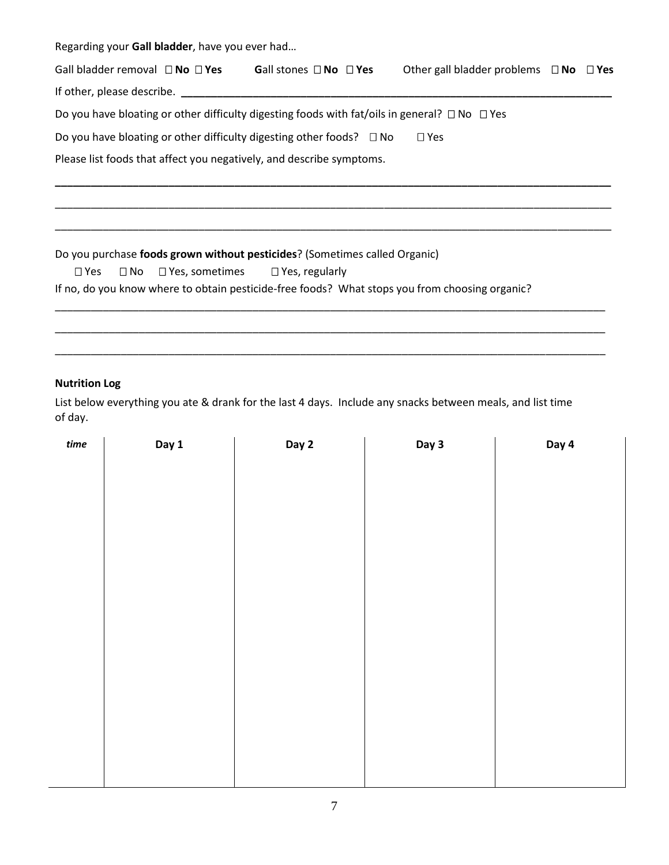Regarding your **Gall bladder**, have you ever had…

|                                                                                                | Gall bladder removal $\Box$ No $\Box$ Yes Gall stones $\Box$ No $\Box$ Yes                              |  | Other gall bladder problems $\Box$ No $\Box$ Yes |  |  |  |  |
|------------------------------------------------------------------------------------------------|---------------------------------------------------------------------------------------------------------|--|--------------------------------------------------|--|--|--|--|
| If other, please describe. ________                                                            |                                                                                                         |  |                                                  |  |  |  |  |
|                                                                                                | Do you have bloating or other difficulty digesting foods with fat/oils in general? $\Box$ No $\Box$ Yes |  |                                                  |  |  |  |  |
|                                                                                                | Do you have bloating or other difficulty digesting other foods? $\square$ No                            |  | $\Box$ Yes                                       |  |  |  |  |
|                                                                                                | Please list foods that affect you negatively, and describe symptoms.                                    |  |                                                  |  |  |  |  |
|                                                                                                |                                                                                                         |  |                                                  |  |  |  |  |
|                                                                                                |                                                                                                         |  |                                                  |  |  |  |  |
|                                                                                                |                                                                                                         |  |                                                  |  |  |  |  |
|                                                                                                | Do you purchase foods grown without pesticides? (Sometimes called Organic)                              |  |                                                  |  |  |  |  |
| $\square$ Yes                                                                                  | $\Box$ No $\Box$ Yes, sometimes $\Box$ Yes, regularly                                                   |  |                                                  |  |  |  |  |
| If no, do you know where to obtain pesticide-free foods? What stops you from choosing organic? |                                                                                                         |  |                                                  |  |  |  |  |
|                                                                                                |                                                                                                         |  |                                                  |  |  |  |  |

# **Nutrition Log**

List below everything you ate & drank for the last 4 days. Include any snacks between meals, and list time of day.

\_\_\_\_\_\_\_\_\_\_\_\_\_\_\_\_\_\_\_\_\_\_\_\_\_\_\_\_\_\_\_\_\_\_\_\_\_\_\_\_\_\_\_\_\_\_\_\_\_\_\_\_\_\_\_\_\_\_\_\_\_\_\_\_\_\_\_\_\_\_\_\_\_\_\_\_\_\_\_\_\_\_\_\_\_\_\_\_\_\_\_\_

\_\_\_\_\_\_\_\_\_\_\_\_\_\_\_\_\_\_\_\_\_\_\_\_\_\_\_\_\_\_\_\_\_\_\_\_\_\_\_\_\_\_\_\_\_\_\_\_\_\_\_\_\_\_\_\_\_\_\_\_\_\_\_\_\_\_\_\_\_\_\_\_\_\_\_\_\_\_\_\_\_\_\_\_\_\_\_\_\_\_\_\_

| $time$ | Day 1 | Day 2 | Day 3 | Day 4 |
|--------|-------|-------|-------|-------|
|        |       |       |       |       |
|        |       |       |       |       |
|        |       |       |       |       |
|        |       |       |       |       |
|        |       |       |       |       |
|        |       |       |       |       |
|        |       |       |       |       |
|        |       |       |       |       |
|        |       |       |       |       |
|        |       |       |       |       |
|        |       |       |       |       |
|        |       |       |       |       |
|        |       |       |       |       |
|        |       |       |       |       |
|        |       |       |       |       |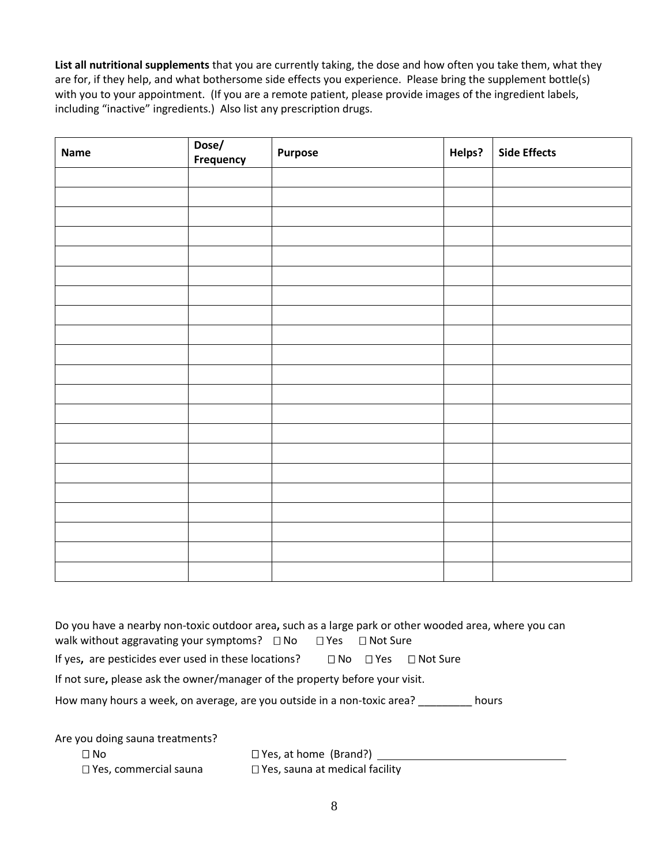**List all nutritional supplements** that you are currently taking, the dose and how often you take them, what they are for, if they help, and what bothersome side effects you experience. Please bring the supplement bottle(s) with you to your appointment. (If you are a remote patient, please provide images of the ingredient labels, including "inactive" ingredients.) Also list any prescription drugs.

| Name | Dose/<br><b>Frequency</b> | Purpose | Helps? | <b>Side Effects</b> |
|------|---------------------------|---------|--------|---------------------|
|      |                           |         |        |                     |
|      |                           |         |        |                     |
|      |                           |         |        |                     |
|      |                           |         |        |                     |
|      |                           |         |        |                     |
|      |                           |         |        |                     |
|      |                           |         |        |                     |
|      |                           |         |        |                     |
|      |                           |         |        |                     |
|      |                           |         |        |                     |
|      |                           |         |        |                     |
|      |                           |         |        |                     |
|      |                           |         |        |                     |
|      |                           |         |        |                     |
|      |                           |         |        |                     |
|      |                           |         |        |                     |
|      |                           |         |        |                     |
|      |                           |         |        |                     |
|      |                           |         |        |                     |
|      |                           |         |        |                     |
|      |                           |         |        |                     |

Do you have a nearby non-toxic outdoor area**,** such as a large park or other wooded area, where you can walk without aggravating your symptoms?  $\Box$  No  $\Box$  Yes  $\Box$  Not Sure If yes, are pesticides ever used in these locations?  $\Box$  No  $\Box$  Yes  $\Box$  Not Sure If not sure**,** please ask the owner/manager of the property before your visit. How many hours a week, on average, are you outside in a non-toxic area? \_\_\_\_\_\_\_\_\_ hours

Are you doing sauna treatments?

□ No □ Yes, at home (Brand?) □ Yes, commercial sauna □ Yes, sauna at medical facility